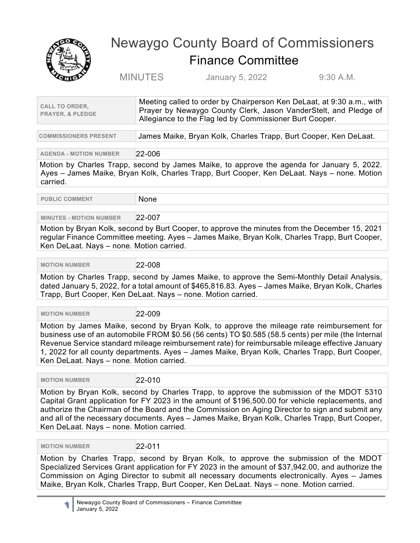

## Newaygo County Board of Commissioners Finance Committee

MINUTES January 5, 2022 9:30 A.M.

**COMMISSIONERS PRESENT** James Maike, Bryan Kolk, Charles Trapp, Burt Cooper, Ken DeLaat.

**AGENDA - MOTION NUMBER** 22-006

Motion by Charles Trapp, second by James Maike, to approve the agenda for January 5, 2022. Ayes – James Maike, Bryan Kolk, Charles Trapp, Burt Cooper, Ken DeLaat. Nays – none. Motion carried.

**PUBLIC COMMENT NONE** 

## **MINUTES - MOTION NUMBER** 22-007

Motion by Bryan Kolk, second by Burt Cooper, to approve the minutes from the December 15, 2021 regular Finance Committee meeting. Ayes – James Maike, Bryan Kolk, Charles Trapp, Burt Cooper, Ken DeLaat. Nays – none. Motion carried.

 **MOTION NUMBER** 22-008

Motion by Charles Trapp, second by James Maike, to approve the Semi-Monthly Detail Analysis, dated January 5, 2022, for a total amount of \$465,816.83. Ayes – James Maike, Bryan Kolk, Charles Trapp, Burt Cooper, Ken DeLaat. Nays – none. Motion carried.

 **MOTION NUMBER** 22-009

Motion by James Maike, second by Bryan Kolk, to approve the mileage rate reimbursement for business use of an automobile FROM \$0.56 (56 cents) TO \$0.585 (58.5 cents) per mile (the Internal Revenue Service standard mileage reimbursement rate) for reimbursable mileage effective January 1, 2022 for all county departments. Ayes – James Maike, Bryan Kolk, Charles Trapp, Burt Cooper, Ken DeLaat. Nays – none. Motion carried.

 **MOTION NUMBER** 22-010

Motion by Bryan Kolk, second by Charles Trapp, to approve the submission of the MDOT 5310 Capital Grant application for FY 2023 in the amount of \$196,500.00 for vehicle replacements, and authorize the Chairman of the Board and the Commission on Aging Director to sign and submit any and all of the necessary documents. Ayes – James Maike, Bryan Kolk, Charles Trapp, Burt Cooper, Ken DeLaat. Nays – none. Motion carried.

 **MOTION NUMBER** 22-011

Motion by Charles Trapp, second by Bryan Kolk, to approve the submission of the MDOT Specialized Services Grant application for FY 2023 in the amount of \$37,942.00, and authorize the Commission on Aging Director to submit all necessary documents electronically. Ayes – James Maike, Bryan Kolk, Charles Trapp, Burt Cooper, Ken DeLaat. Nays – none. Motion carried.